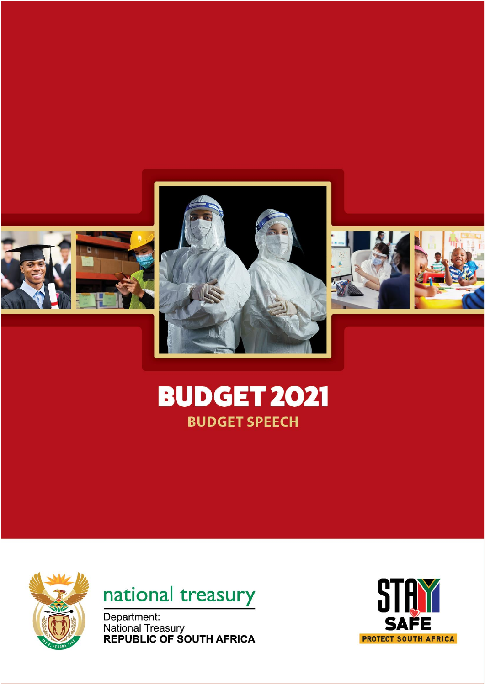





# **BUDGET 2021 BUDGET SPEECH**





Department: **National Treasury<br>REPUBLIC OF SOUTH AFRICA** 

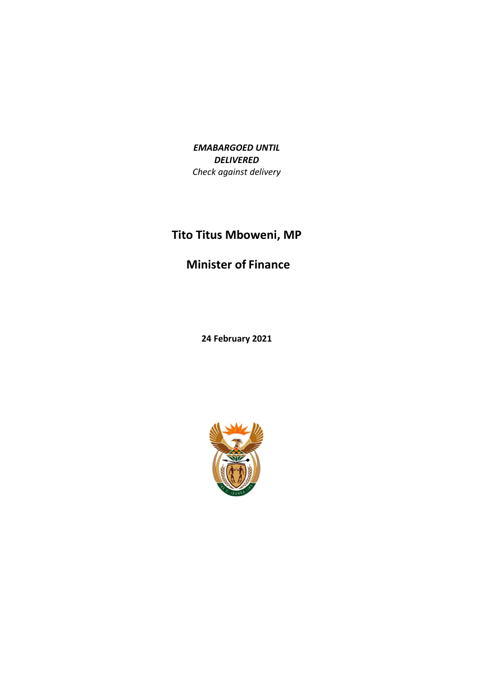*EMABARGOED UNTIL DELIVERED Check against delivery*

# **Tito Titus Mboweni, MP**

#### **Minister of Finance**

**24 February 2021**

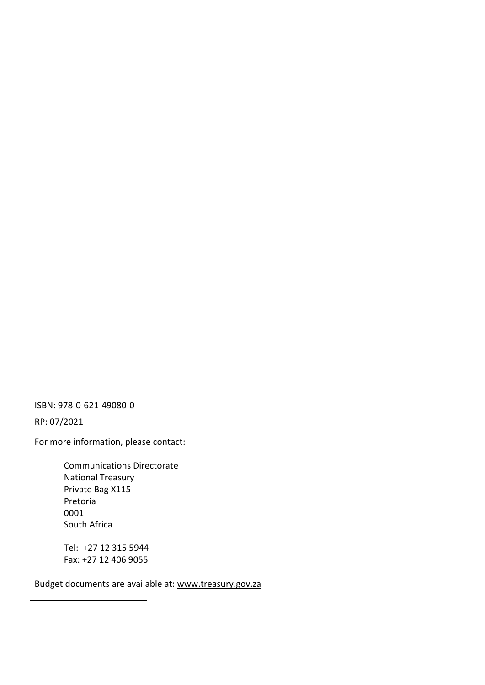ISBN: 978-0-621-49080-0

RP: 07/2021

For more information, please contact:

Communications Directorate National Treasury Private Bag X115 Pretoria 0001 South Africa

Tel: +27 12 315 5944 Fax: +27 12 406 9055

Budget documents are available at: [www.treasury.gov.za](http://www.treasury.gov.za/)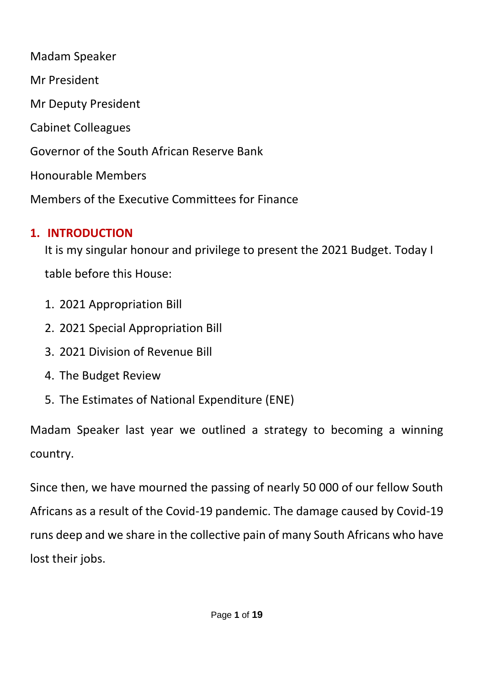Madam Speaker Mr President Mr Deputy President Cabinet Colleagues Governor of the South African Reserve Bank Honourable Members Members of the Executive Committees for Finance

## **1. INTRODUCTION**

It is my singular honour and privilege to present the 2021 Budget. Today I table before this House:

- 1. 2021 Appropriation Bill
- 2. 2021 Special Appropriation Bill
- 3. 2021 Division of Revenue Bill
- 4. The Budget Review
- 5. The Estimates of National Expenditure (ENE)

Madam Speaker last year we outlined a strategy to becoming a winning country.

Since then, we have mourned the passing of nearly 50 000 of our fellow South Africans as a result of the Covid-19 pandemic. The damage caused by Covid-19 runs deep and we share in the collective pain of many South Africans who have lost their jobs.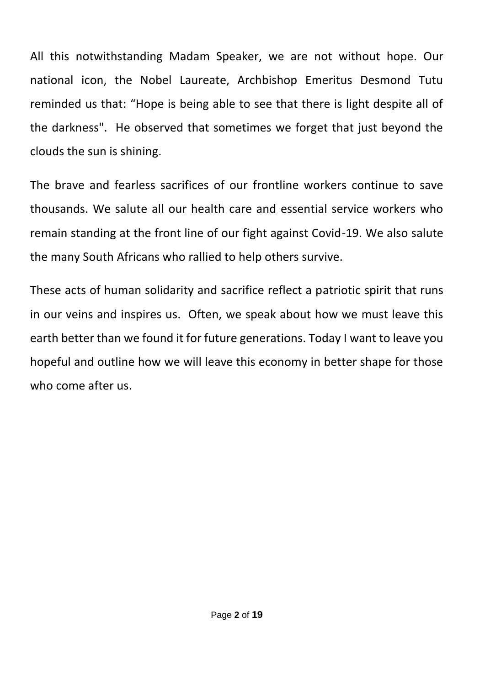All this notwithstanding Madam Speaker, we are not without hope. Our national icon, the Nobel Laureate, Archbishop Emeritus Desmond Tutu reminded us that: "Hope is being able to see that there is light despite all of the darkness". He observed that sometimes we forget that just beyond the clouds the sun is shining.

The brave and fearless sacrifices of our frontline workers continue to save thousands. We salute all our health care and essential service workers who remain standing at the front line of our fight against Covid-19. We also salute the many South Africans who rallied to help others survive.

These acts of human solidarity and sacrifice reflect a patriotic spirit that runs in our veins and inspires us. Often, we speak about how we must leave this earth better than we found it for future generations. Today I want to leave you hopeful and outline how we will leave this economy in better shape for those who come after us.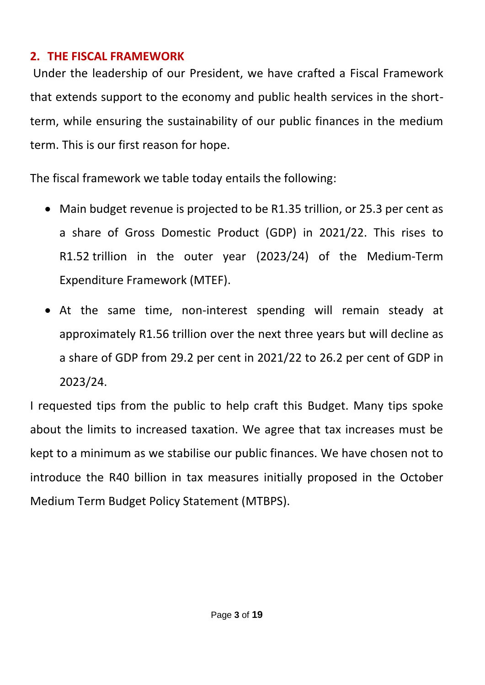### **2. THE FISCAL FRAMEWORK**

Under the leadership of our President, we have crafted a Fiscal Framework that extends support to the economy and public health services in the shortterm, while ensuring the sustainability of our public finances in the medium term. This is our first reason for hope.

The fiscal framework we table today entails the following:

- Main budget revenue is projected to be R1.35 trillion, or 25.3 per cent as a share of Gross Domestic Product (GDP) in 2021/22. This rises to R1.52 trillion in the outer year (2023/24) of the Medium-Term Expenditure Framework (MTEF).
- At the same time, non-interest spending will remain steady at approximately R1.56 trillion over the next three years but will decline as a share of GDP from 29.2 per cent in 2021/22 to 26.2 per cent of GDP in 2023/24.

I requested tips from the public to help craft this Budget. Many tips spoke about the limits to increased taxation. We agree that tax increases must be kept to a minimum as we stabilise our public finances. We have chosen not to introduce the R40 billion in tax measures initially proposed in the October Medium Term Budget Policy Statement (MTBPS).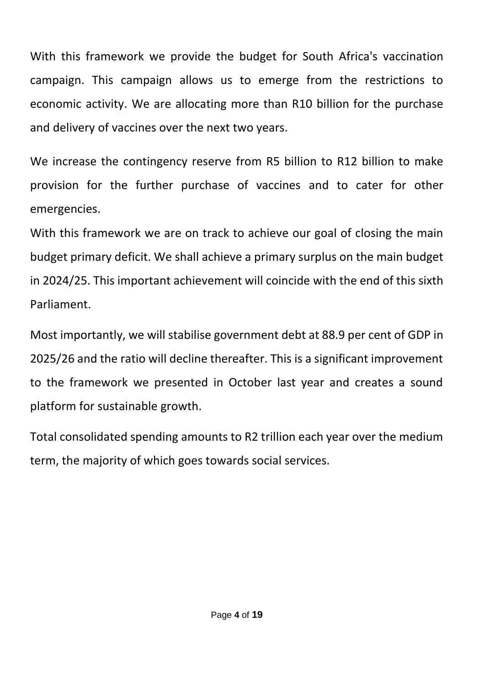With this framework we provide the budget for South Africa's vaccination campaign. This campaign allows us to emerge from the restrictions to economic activity. We are allocating more than R10 billion for the purchase and delivery of vaccines over the next two years.

We increase the contingency reserve from R5 billion to R12 billion to make provision for the further purchase of vaccines and to cater for other emergencies.

With this framework we are on track to achieve our goal of closing the main budget primary deficit. We shall achieve a primary surplus on the main budget in 2024/25. This important achievement will coincide with the end of this sixth Parliament.

Most importantly, we will stabilise government debt at 88.9 per cent of GDP in 2025/26 and the ratio will decline thereafter. This is a significant improvement to the framework we presented in October last year and creates a sound platform for sustainable growth.

Total consolidated spending amounts to R2 trillion each year over the medium term, the majority of which goes towards social services.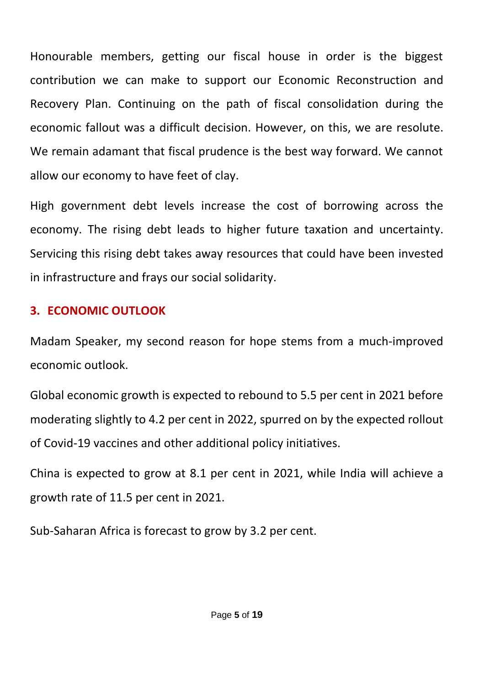Honourable members, getting our fiscal house in order is the biggest contribution we can make to support our Economic Reconstruction and Recovery Plan. Continuing on the path of fiscal consolidation during the economic fallout was a difficult decision. However, on this, we are resolute. We remain adamant that fiscal prudence is the best way forward. We cannot allow our economy to have feet of clay.

High government debt levels increase the cost of borrowing across the economy. The rising debt leads to higher future taxation and uncertainty. Servicing this rising debt takes away resources that could have been invested in infrastructure and frays our social solidarity.

# **3. ECONOMIC OUTLOOK**

Madam Speaker, my second reason for hope stems from a much-improved economic outlook.

Global economic growth is expected to rebound to 5.5 per cent in 2021 before moderating slightly to 4.2 per cent in 2022, spurred on by the expected rollout of Covid-19 vaccines and other additional policy initiatives.

China is expected to grow at 8.1 per cent in 2021, while India will achieve a growth rate of 11.5 per cent in 2021.

Sub-Saharan Africa is forecast to grow by 3.2 per cent.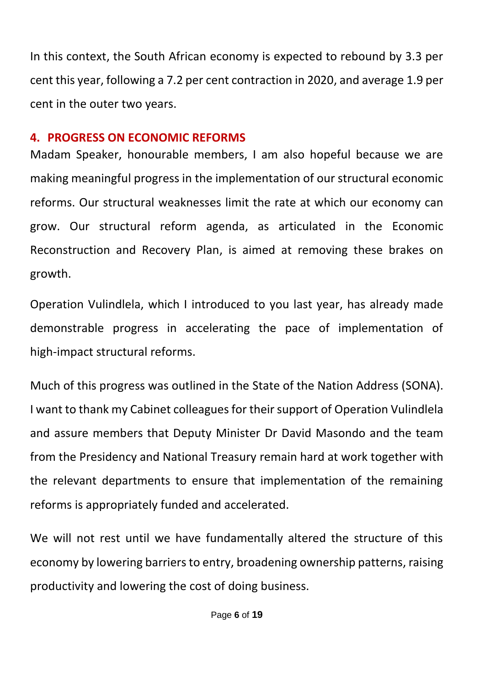In this context, the South African economy is expected to rebound by 3.3 per cent this year, following a 7.2 per cent contraction in 2020, and average 1.9 per cent in the outer two years.

## **4. PROGRESS ON ECONOMIC REFORMS**

Madam Speaker, honourable members, I am also hopeful because we are making meaningful progress in the implementation of our structural economic reforms. Our structural weaknesses limit the rate at which our economy can grow. Our structural reform agenda, as articulated in the Economic Reconstruction and Recovery Plan, is aimed at removing these brakes on growth.

Operation Vulindlela, which I introduced to you last year, has already made demonstrable progress in accelerating the pace of implementation of high-impact structural reforms.

Much of this progress was outlined in the State of the Nation Address (SONA). I want to thank my Cabinet colleagues for their support of Operation Vulindlela and assure members that Deputy Minister Dr David Masondo and the team from the Presidency and National Treasury remain hard at work together with the relevant departments to ensure that implementation of the remaining reforms is appropriately funded and accelerated.

We will not rest until we have fundamentally altered the structure of this economy by lowering barriers to entry, broadening ownership patterns, raising productivity and lowering the cost of doing business.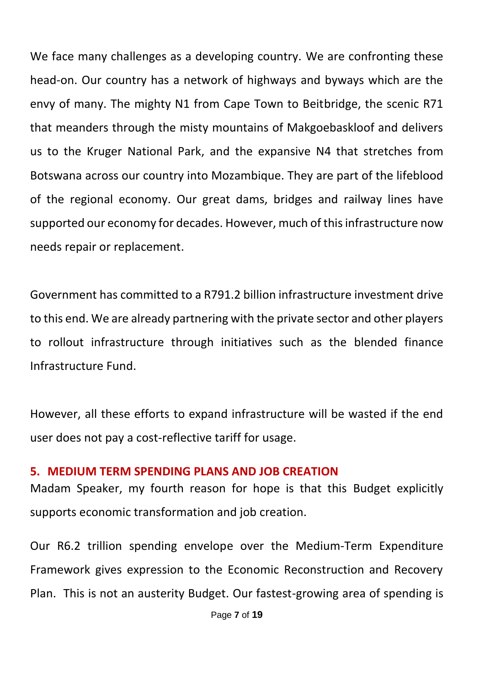We face many challenges as a developing country. We are confronting these head-on. Our country has a network of highways and byways which are the envy of many. The mighty N1 from Cape Town to Beitbridge, the scenic R71 that meanders through the misty mountains of Makgoebaskloof and delivers us to the Kruger National Park, and the expansive N4 that stretches from Botswana across our country into Mozambique. They are part of the lifeblood of the regional economy. Our great dams, bridges and railway lines have supported our economy for decades. However, much of this infrastructure now needs repair or replacement.

Government has committed to a R791.2 billion infrastructure investment drive to this end. We are already partnering with the private sector and other players to rollout infrastructure through initiatives such as the blended finance Infrastructure Fund.

However, all these efforts to expand infrastructure will be wasted if the end user does not pay a cost-reflective tariff for usage.

#### **5. MEDIUM TERM SPENDING PLANS AND JOB CREATION**

Madam Speaker, my fourth reason for hope is that this Budget explicitly supports economic transformation and job creation.

Our R6.2 trillion spending envelope over the Medium-Term Expenditure Framework gives expression to the Economic Reconstruction and Recovery Plan. This is not an austerity Budget. Our fastest-growing area of spending is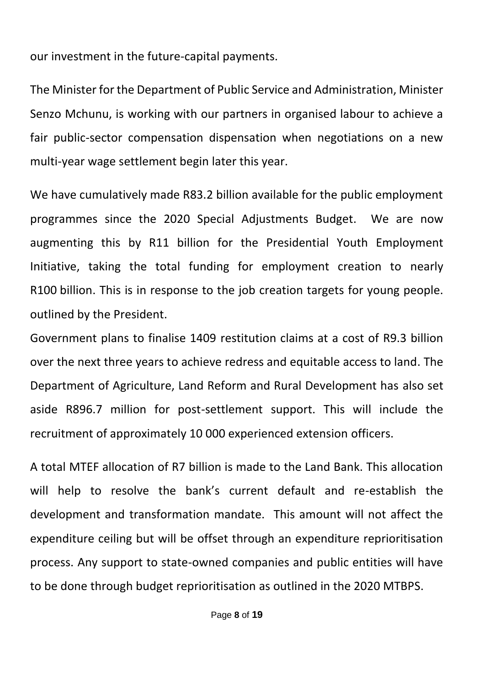our investment in the future-capital payments.

The Minister for the Department of Public Service and Administration, Minister Senzo Mchunu, is working with our partners in organised labour to achieve a fair public-sector compensation dispensation when negotiations on a new multi-year wage settlement begin later this year.

We have cumulatively made R83.2 billion available for the public employment programmes since the 2020 Special Adjustments Budget. We are now augmenting this by R11 billion for the Presidential Youth Employment Initiative, taking the total funding for employment creation to nearly R100 billion. This is in response to the job creation targets for young people. outlined by the President.

Government plans to finalise 1409 restitution claims at a cost of R9.3 billion over the next three years to achieve redress and equitable access to land. The Department of Agriculture, Land Reform and Rural Development has also set aside R896.7 million for post-settlement support. This will include the recruitment of approximately 10 000 experienced extension officers.

A total MTEF allocation of R7 billion is made to the Land Bank. This allocation will help to resolve the bank's current default and re-establish the development and transformation mandate. This amount will not affect the expenditure ceiling but will be offset through an expenditure reprioritisation process. Any support to state-owned companies and public entities will have to be done through budget reprioritisation as outlined in the 2020 MTBPS.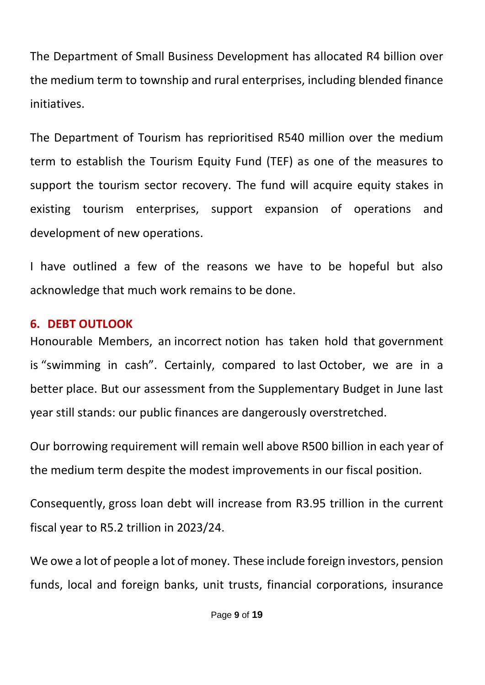The Department of Small Business Development has allocated R4 billion over the medium term to township and rural enterprises, including blended finance initiatives.

The Department of Tourism has reprioritised R540 million over the medium term to establish the Tourism Equity Fund (TEF) as one of the measures to support the tourism sector recovery. The fund will acquire equity stakes in existing tourism enterprises, support expansion of operations and development of new operations.

I have outlined a few of the reasons we have to be hopeful but also acknowledge that much work remains to be done.

### **6. DEBT OUTLOOK**

Honourable Members, an incorrect notion has taken hold that government is "swimming in cash". Certainly, compared to last October, we are in a better place. But our assessment from the Supplementary Budget in June last year still stands: our public finances are dangerously overstretched.

Our borrowing requirement will remain well above R500 billion in each year of the medium term despite the modest improvements in our fiscal position.

Consequently, gross loan debt will increase from R3.95 trillion in the current fiscal year to R5.2 trillion in 2023/24.

We owe a lot of people a lot of money. These include foreign investors, pension funds, local and foreign banks, unit trusts, financial corporations, insurance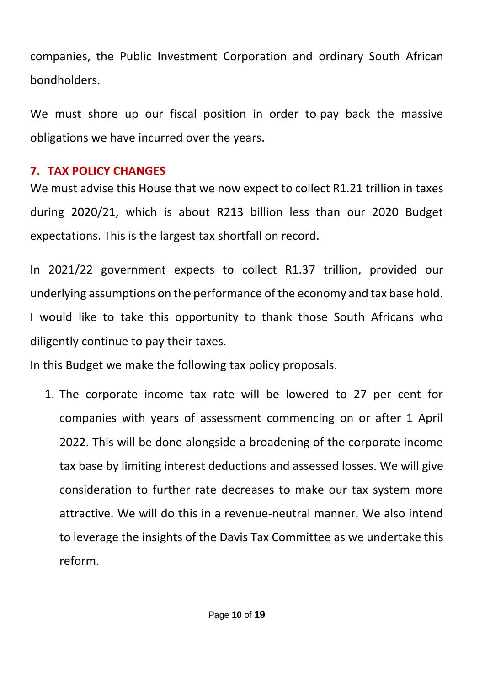companies, the Public Investment Corporation and ordinary South African bondholders.

We must shore up our fiscal position in order to pay back the massive obligations we have incurred over the years.

## **7. TAX POLICY CHANGES**

We must advise this House that we now expect to collect R1.21 trillion in taxes during 2020/21, which is about R213 billion less than our 2020 Budget expectations. This is the largest tax shortfall on record.

In 2021/22 government expects to collect R1.37 trillion, provided our underlying assumptions on the performance of the economy and tax base hold. I would like to take this opportunity to thank those South Africans who diligently continue to pay their taxes.

In this Budget we make the following tax policy proposals.

1. The corporate income tax rate will be lowered to 27 per cent for companies with years of assessment commencing on or after 1 April 2022. This will be done alongside a broadening of the corporate income tax base by limiting interest deductions and assessed losses. We will give consideration to further rate decreases to make our tax system more attractive. We will do this in a revenue-neutral manner. We also intend to leverage the insights of the Davis Tax Committee as we undertake this reform.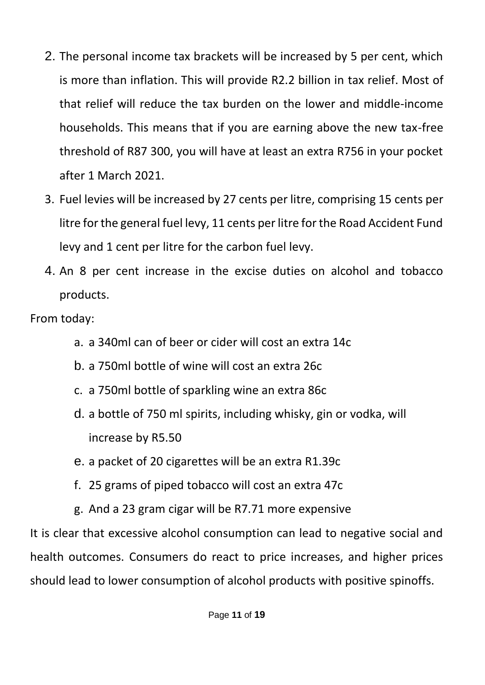- 2. The personal income tax brackets will be increased by 5 per cent, which is more than inflation. This will provide R2.2 billion in tax relief. Most of that relief will reduce the tax burden on the lower and middle-income households. This means that if you are earning above the new tax-free threshold of R87 300, you will have at least an extra R756 in your pocket after 1 March 2021.
- 3. Fuel levies will be increased by 27 cents per litre, comprising 15 cents per litre for the general fuel levy, 11 cents per litre for the Road Accident Fund levy and 1 cent per litre for the carbon fuel levy.
- 4. An 8 per cent increase in the excise duties on alcohol and tobacco products.

From today:

- a. a 340ml can of beer or cider will cost an extra 14c
- b. a 750ml bottle of wine will cost an extra 26c
- c. a 750ml bottle of sparkling wine an extra 86c
- d. a bottle of 750 ml spirits, including whisky, gin or vodka, will increase by R5.50
- e. a packet of 20 cigarettes will be an extra R1.39c
- f. 25 grams of piped tobacco will cost an extra 47c
- g. And a 23 gram cigar will be R7.71 more expensive

It is clear that excessive alcohol consumption can lead to negative social and health outcomes. Consumers do react to price increases, and higher prices should lead to lower consumption of alcohol products with positive spinoffs.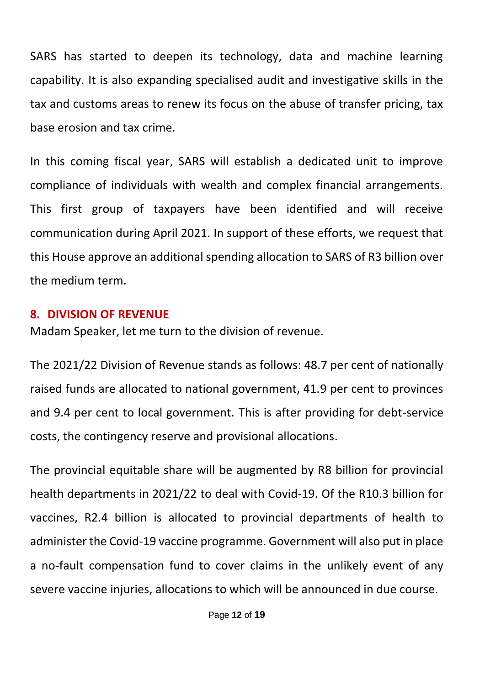SARS has started to deepen its technology, data and machine learning capability. It is also expanding specialised audit and investigative skills in the tax and customs areas to renew its focus on the abuse of transfer pricing, tax base erosion and tax crime.

In this coming fiscal year, SARS will establish a dedicated unit to improve compliance of individuals with wealth and complex financial arrangements. This first group of taxpayers have been identified and will receive communication during April 2021. In support of these efforts, we request that this House approve an additional spending allocation to SARS of R3 billion over the medium term.

#### **8. DIVISION OF REVENUE**

Madam Speaker, let me turn to the division of revenue.

The 2021/22 Division of Revenue stands as follows: 48.7 per cent of nationally raised funds are allocated to national government, 41.9 per cent to provinces and 9.4 per cent to local government. This is after providing for debt-service costs, the contingency reserve and provisional allocations.

The provincial equitable share will be augmented by R8 billion for provincial health departments in 2021/22 to deal with Covid-19. Of the R10.3 billion for vaccines, R2.4 billion is allocated to provincial departments of health to administer the Covid-19 vaccine programme. Government will also put in place a no-fault compensation fund to cover claims in the unlikely event of any severe vaccine injuries, allocations to which will be announced in due course.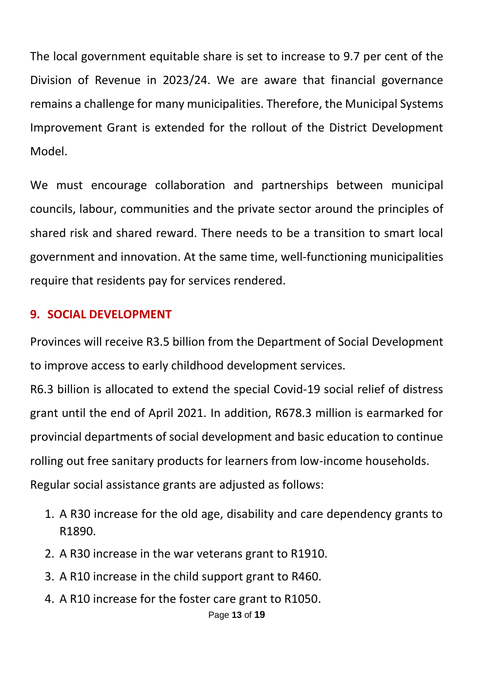The local government equitable share is set to increase to 9.7 per cent of the Division of Revenue in 2023/24. We are aware that financial governance remains a challenge for many municipalities. Therefore, the Municipal Systems Improvement Grant is extended for the rollout of the District Development Model.

We must encourage collaboration and partnerships between municipal councils, labour, communities and the private sector around the principles of shared risk and shared reward. There needs to be a transition to smart local government and innovation. At the same time, well-functioning municipalities require that residents pay for services rendered.

#### **9. SOCIAL DEVELOPMENT**

Provinces will receive R3.5 billion from the Department of Social Development to improve access to early childhood development services.

R6.3 billion is allocated to extend the special Covid-19 social relief of distress grant until the end of April 2021. In addition, R678.3 million is earmarked for provincial departments of social development and basic education to continue rolling out free sanitary products for learners from low-income households. Regular social assistance grants are adjusted as follows:

- 1. A R30 increase for the old age, disability and care dependency grants to R1890.
- 2. A R30 increase in the war veterans grant to R1910.
- 3. A R10 increase in the child support grant to R460.
- 4. A R10 increase for the foster care grant to R1050.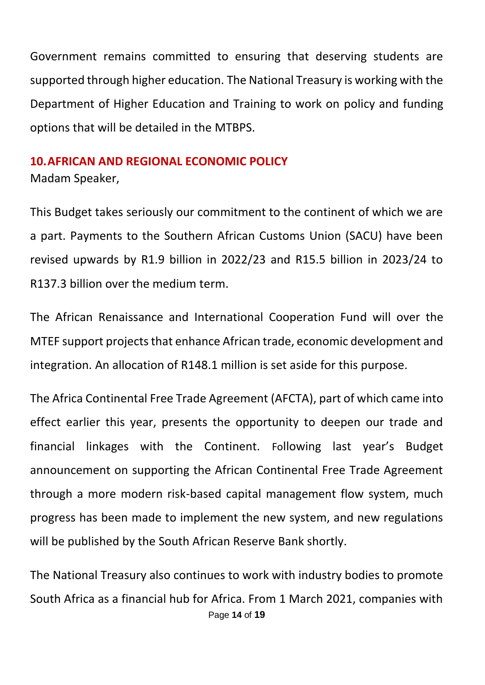Government remains committed to ensuring that deserving students are supported through higher education. The National Treasury is working with the Department of Higher Education and Training to work on policy and funding options that will be detailed in the MTBPS.

## **10.AFRICAN AND REGIONAL ECONOMIC POLICY**

Madam Speaker,

This Budget takes seriously our commitment to the continent of which we are a part. Payments to the Southern African Customs Union (SACU) have been revised upwards by R1.9 billion in 2022/23 and R15.5 billion in 2023/24 to R137.3 billion over the medium term.

The African Renaissance and International Cooperation Fund will over the MTEF support projects that enhance African trade, economic development and integration. An allocation of R148.1 million is set aside for this purpose.

The Africa Continental Free Trade Agreement (AFCTA), part of which came into effect earlier this year, presents the opportunity to deepen our trade and financial linkages with the Continent. Following last year's Budget announcement on supporting the African Continental Free Trade Agreement through a more modern risk-based capital management flow system, much progress has been made to implement the new system, and new regulations will be published by the South African Reserve Bank shortly.

Page **14** of **19** The National Treasury also continues to work with industry bodies to promote South Africa as a financial hub for Africa. From 1 March 2021, companies with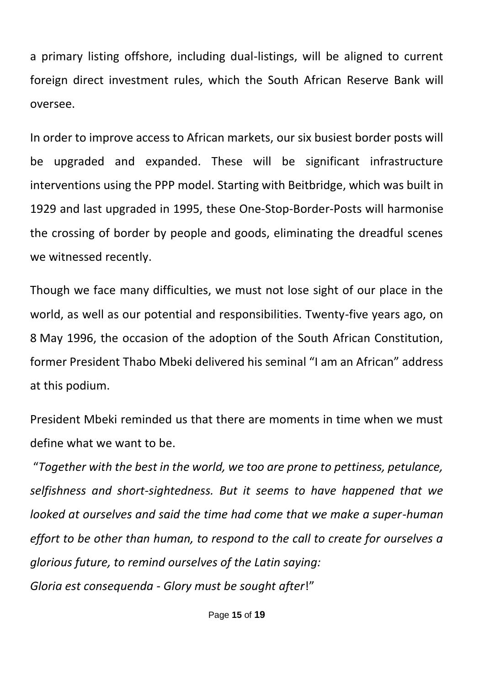a primary listing offshore, including dual-listings, will be aligned to current foreign direct investment rules, which the South African Reserve Bank will oversee.

In order to improve access to African markets, our six busiest border posts will be upgraded and expanded. These will be significant infrastructure interventions using the PPP model. Starting with Beitbridge, which was built in 1929 and last upgraded in 1995, these One-Stop-Border-Posts will harmonise the crossing of border by people and goods, eliminating the dreadful scenes we witnessed recently.

Though we face many difficulties, we must not lose sight of our place in the world, as well as our potential and responsibilities. Twenty-five years ago, on 8 May 1996, the occasion of the adoption of the South African Constitution, former President Thabo Mbeki delivered his seminal "I am an African" address at this podium.

President Mbeki reminded us that there are moments in time when we must define what we want to be.

"*Together with the best in the world, we too are prone to pettiness, petulance, selfishness and short-sightedness. But it seems to have happened that we looked at ourselves and said the time had come that we make a super-human effort to be other than human, to respond to the call to create for ourselves a glorious future, to remind ourselves of the Latin saying: Gloria est consequenda - Glory must be sought after*!"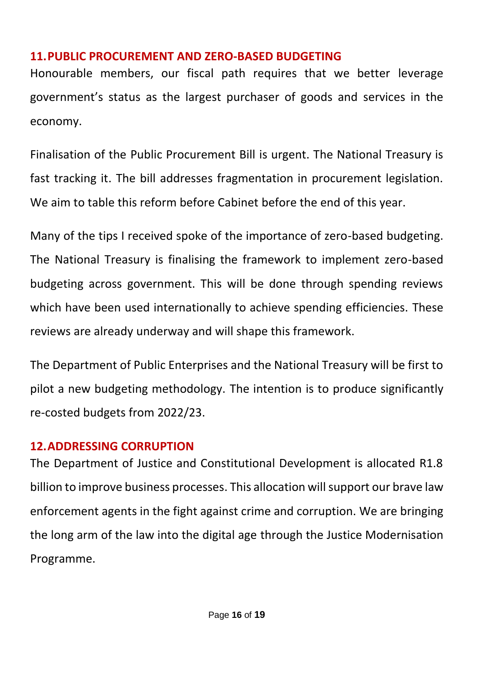#### **11.PUBLIC PROCUREMENT AND ZERO-BASED BUDGETING**

Honourable members, our fiscal path requires that we better leverage government's status as the largest purchaser of goods and services in the economy.

Finalisation of the Public Procurement Bill is urgent. The National Treasury is fast tracking it. The bill addresses fragmentation in procurement legislation. We aim to table this reform before Cabinet before the end of this year.

Many of the tips I received spoke of the importance of zero-based budgeting. The National Treasury is finalising the framework to implement zero-based budgeting across government. This will be done through spending reviews which have been used internationally to achieve spending efficiencies. These reviews are already underway and will shape this framework.

The Department of Public Enterprises and the National Treasury will be first to pilot a new budgeting methodology. The intention is to produce significantly re-costed budgets from 2022/23.

# **12.ADDRESSING CORRUPTION**

The Department of Justice and Constitutional Development is allocated R1.8 billion to improve business processes. This allocation will support our brave law enforcement agents in the fight against crime and corruption. We are bringing the long arm of the law into the digital age through the Justice Modernisation Programme.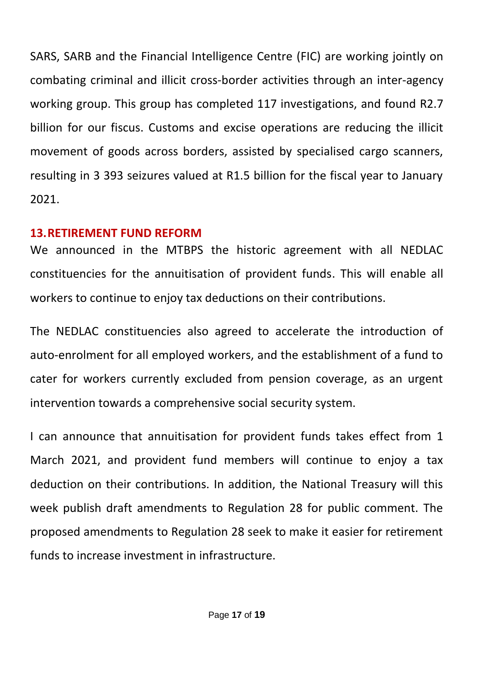SARS, SARB and the Financial Intelligence Centre (FIC) are working jointly on combating criminal and illicit cross-border activities through an inter-agency working group. This group has completed 117 investigations, and found R2.7 billion for our fiscus. Customs and excise operations are reducing the illicit movement of goods across borders, assisted by specialised cargo scanners, resulting in 3 393 seizures valued at R1.5 billion for the fiscal year to January 2021.

#### **13.RETIREMENT FUND REFORM**

We announced in the MTBPS the historic agreement with all NEDLAC constituencies for the annuitisation of provident funds. This will enable all workers to continue to enjoy tax deductions on their contributions.

The NEDLAC constituencies also agreed to accelerate the introduction of auto-enrolment for all employed workers, and the establishment of a fund to cater for workers currently excluded from pension coverage, as an urgent intervention towards a comprehensive social security system.

I can announce that annuitisation for provident funds takes effect from 1 March 2021, and provident fund members will continue to enjoy a tax deduction on their contributions. In addition, the National Treasury will this week publish draft amendments to Regulation 28 for public comment. The proposed amendments to Regulation 28 seek to make it easier for retirement funds to increase investment in infrastructure.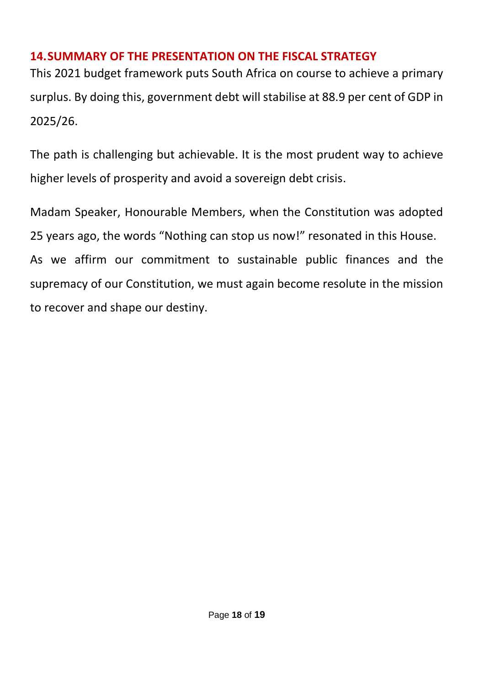## **14.SUMMARY OF THE PRESENTATION ON THE FISCAL STRATEGY**

This 2021 budget framework puts South Africa on course to achieve a primary surplus. By doing this, government debt will stabilise at 88.9 per cent of GDP in 2025/26.

The path is challenging but achievable. It is the most prudent way to achieve higher levels of prosperity and avoid a sovereign debt crisis.

Madam Speaker, Honourable Members, when the Constitution was adopted 25 years ago, the words "Nothing can stop us now!" resonated in this House. As we affirm our commitment to sustainable public finances and the supremacy of our Constitution, we must again become resolute in the mission to recover and shape our destiny.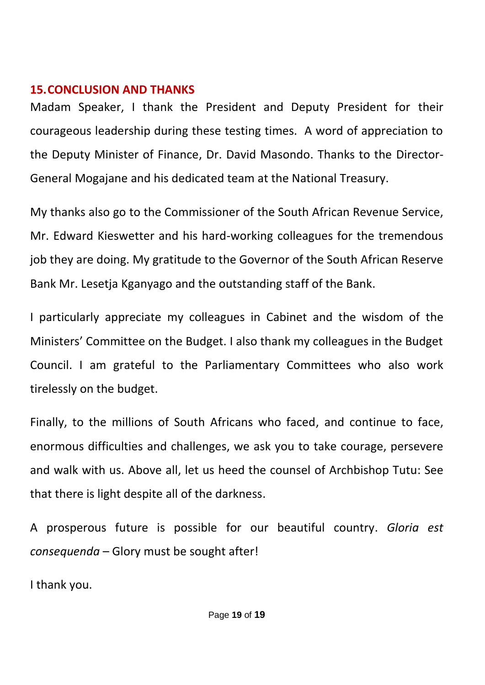#### **15.CONCLUSION AND THANKS**

Madam Speaker, I thank the President and Deputy President for their courageous leadership during these testing times. A word of appreciation to the Deputy Minister of Finance, Dr. David Masondo. Thanks to the Director-General Mogajane and his dedicated team at the National Treasury.

My thanks also go to the Commissioner of the South African Revenue Service, Mr. Edward Kieswetter and his hard-working colleagues for the tremendous job they are doing. My gratitude to the Governor of the South African Reserve Bank Mr. Lesetja Kganyago and the outstanding staff of the Bank.

I particularly appreciate my colleagues in Cabinet and the wisdom of the Ministers' Committee on the Budget. I also thank my colleagues in the Budget Council. I am grateful to the Parliamentary Committees who also work tirelessly on the budget.

Finally, to the millions of South Africans who faced, and continue to face, enormous difficulties and challenges, we ask you to take courage, persevere and walk with us. Above all, let us heed the counsel of Archbishop Tutu: See that there is light despite all of the darkness.

A prosperous future is possible for our beautiful country. *Gloria est consequenda* – Glory must be sought after!

I thank you.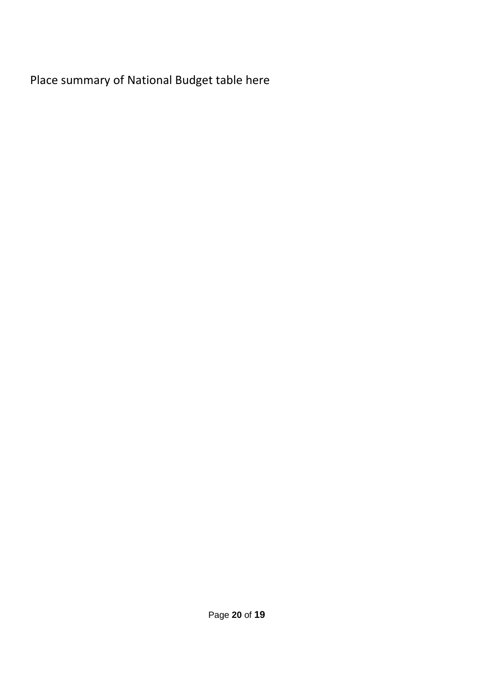Place summary of National Budget table here